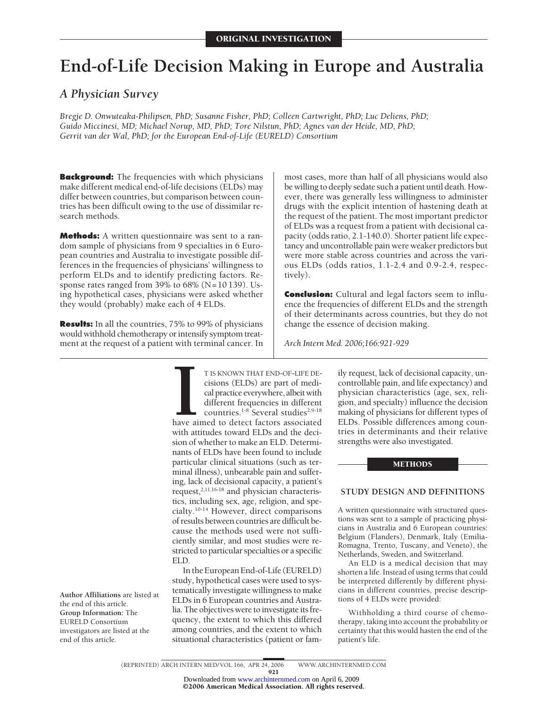# **End-of-Life Decision Making in Europe and Australia**

## *A Physician Survey*

*Bregje D. Onwuteaka-Philipsen, PhD; Susanne Fisher, PhD; Colleen Cartwright, PhD; Luc Deliens, PhD; Guido Miccinesi, MD; Michael Norup, MD, PhD; Tore Nilstun, PhD; Agnes van der Heide, MD, PhD; Gerrit van der Wal, PhD; for the European End-of-Life (EURELD) Consortium*

**Background:** The frequencies with which physicians make different medical end-of-life decisions (ELDs) may differ between countries, but comparison between countries has been difficult owing to the use of dissimilar research methods.

**Methods:** A written questionnaire was sent to a random sample of physicians from 9 specialties in 6 European countries and Australia to investigate possible differences in the frequencies of physicians' willingness to perform ELDs and to identify predicting factors. Response rates ranged from 39% to 68% (N=10 139). Using hypothetical cases, physicians were asked whether they would (probably) make each of 4 ELDs.

**Results:** In all the countries, 75% to 99% of physicians would withhold chemotherapy or intensify symptom treatment at the request of a patient with terminal cancer. In most cases, more than half of all physicians would also be willing to deeply sedate such a patient until death. However, there was generally less willingness to administer drugs with the explicit intention of hastening death at the request of the patient. The most important predictor of ELDs was a request from a patient with decisional capacity (odds ratio, 2.1-140.0). Shorter patient life expectancy and uncontrollable pain were weaker predictors but were more stable across countries and across the various ELDs (odds ratios, 1.1-2.4 and 0.9-2.4, respectively).

**Conclusion:** Cultural and legal factors seem to influence the frequencies of different ELDs and the strength of their determinants across countries, but they do not change the essence of decision making.

*Arch Intern Med. 2006;166:921-929*

**I**<br>have ain T IS KNOWN THAT END-OF-LIFE DEcisions (ELDs) are part of medical practice everywhere, albeit with different frequencies in different countries.<sup>1-8</sup> Several studies<sup>2,9-18</sup> have aimed to detect factors associated with attitudes toward ELDs and the decision of whether to make an ELD. Determinants of ELDs have been found to include particular clinical situations (such as terminal illness), unbearable pain and suffering, lack of decisional capacity, a patient's request,2,11,16-18 and physician characteristics, including sex, age, religion, and specialty.10-14 However, direct comparisons of results between countries are difficult because the methods used were not sufficiently similar, and most studies were restricted to particular specialties or a specific ELD.

In the European End-of-Life (EURELD) study, hypothetical cases were used to systematically investigate willingness to make ELDs in 6 European countries and Australia. The objectives were to investigate its frequency, the extent to which this differed among countries, and the extent to which situational characteristics (patient or family request, lack of decisional capacity, uncontrollable pain, and life expectancy) and physician characteristics (age, sex, religion, and specialty) influence the decision making of physicians for different types of ELDs. Possible differences among countries in determinants and their relative strengths were also investigated.

#### METHODS

## **STUDY DESIGN AND DEFINITIONS**

A written questionnaire with structured questions was sent to a sample of practicing physicians in Australia and 6 European countries: Belgium (Flanders), Denmark, Italy (Emilia-Romagna, Trento, Tuscany, and Veneto), the Netherlands, Sweden, and Switzerland.

An ELD is a medical decision that may shorten a life. Instead of using terms that could be interpreted differently by different physicians in different countries, precise descriptions of 4 ELDs were provided:

Withholding a third course of chemotherapy, taking into account the probability or certainty that this would hasten the end of the patient's life.

**Author Affiliations** are listed at the end of this article. **Group Information:** The EURELD Consortium investigators are listed at the end of this article.

921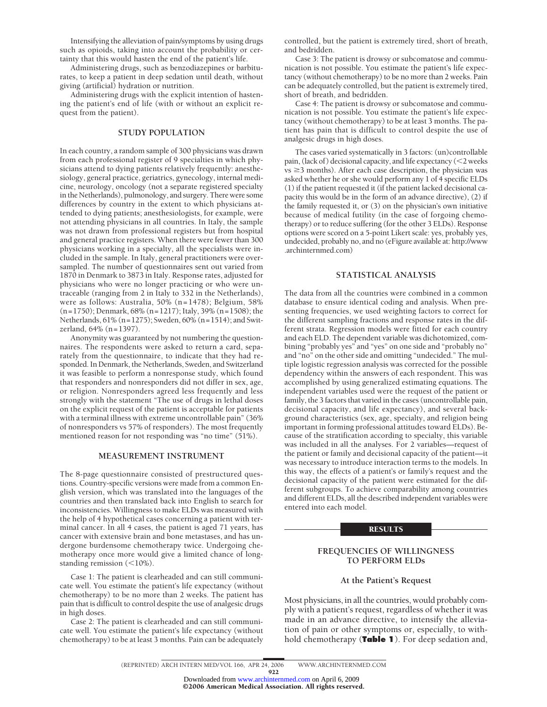Intensifying the alleviation of pain/symptoms by using drugs such as opioids, taking into account the probability or certainty that this would hasten the end of the patient's life.

Administering drugs, such as benzodiazepines or barbiturates, to keep a patient in deep sedation until death, without giving (artificial) hydration or nutrition.

Administering drugs with the explicit intention of hastening the patient's end of life (with or without an explicit request from the patient).

## **STUDY POPULATION**

In each country, a random sample of 300 physicians was drawn from each professional register of 9 specialties in which physicians attend to dying patients relatively frequently: anesthesiology, general practice, geriatrics, gynecology, internal medicine, neurology, oncology (not a separate registered specialty in the Netherlands), pulmonology, and surgery. There were some differences by country in the extent to which physicians attended to dying patients; anesthesiologists, for example, were not attending physicians in all countries. In Italy, the sample was not drawn from professional registers but from hospital and general practice registers. When there were fewer than 300 physicians working in a specialty, all the specialists were included in the sample. In Italy, general practitioners were oversampled. The number of questionnaires sent out varied from 1870 in Denmark to 3873 in Italy. Response rates, adjusted for physicians who were no longer practicing or who were untraceable (ranging from 2 in Italy to 332 in the Netherlands), were as follows: Australia, 50% (n=1478); Belgium, 58% (n=1750); Denmark, 68% (n=1217); Italy, 39% (n=1508); the Netherlands, 61% (n=1275); Sweden, 60% (n=1514); and Switzerland, 64% (n=1397).

Anonymity was guaranteed by not numbering the questionnaires. The respondents were asked to return a card, separately from the questionnaire, to indicate that they had responded. In Denmark, the Netherlands, Sweden, and Switzerland it was feasible to perform a nonresponse study, which found that responders and nonresponders did not differ in sex, age, or religion. Nonresponders agreed less frequently and less strongly with the statement "The use of drugs in lethal doses on the explicit request of the patient is acceptable for patients with a terminal illness with extreme uncontrollable pain" (36% of nonresponders vs 57% of responders). The most frequently mentioned reason for not responding was "no time" (51%).

## **MEASUREMENT INSTRUMENT**

The 8-page questionnaire consisted of prestructured questions. Country-specific versions were made from a common English version, which was translated into the languages of the countries and then translated back into English to search for inconsistencies. Willingness to make ELDs was measured with the help of 4 hypothetical cases concerning a patient with terminal cancer. In all 4 cases, the patient is aged 71 years, has cancer with extensive brain and bone metastases, and has undergone burdensome chemotherapy twice. Undergoing chemotherapy once more would give a limited chance of longstanding remission  $(<10%$ ).

Case 1: The patient is clearheaded and can still communicate well. You estimate the patient's life expectancy (without chemotherapy) to be no more than 2 weeks. The patient has pain that is difficult to control despite the use of analgesic drugs in high doses.

Case 2: The patient is clearheaded and can still communicate well. You estimate the patient's life expectancy (without chemotherapy) to be at least 3 months. Pain can be adequately controlled, but the patient is extremely tired, short of breath, and bedridden.

Case 3: The patient is drowsy or subcomatose and communication is not possible. You estimate the patient's life expectancy (without chemotherapy) to be no more than 2 weeks. Pain can be adequately controlled, but the patient is extremely tired, short of breath, and bedridden.

Case 4: The patient is drowsy or subcomatose and communication is not possible. You estimate the patient's life expectancy (without chemotherapy) to be at least 3 months. The patient has pain that is difficult to control despite the use of analgesic drugs in high doses.

The cases varied systematically in 3 factors: (un)controllable pain, (lack of) decisional capacity, and life expectancy  $(<$ 2 weeks vs  $\geq$ 3 months). After each case description, the physician was asked whether he or she would perform any 1 of 4 specific ELDs (1) if the patient requested it (if the patient lacked decisional capacity this would be in the form of an advance directive), (2) if the family requested it, or (3) on the physician's own initiative because of medical futility (in the case of forgoing chemotherapy) or to reduce suffering (for the other 3 ELDs). Response options were scored on a 5-point Likert scale: yes, probably yes, undecided, probably no, and no (eFigure available at: http://www .archinternmed.com)

### **STATISTICAL ANALYSIS**

The data from all the countries were combined in a common database to ensure identical coding and analysis. When presenting frequencies, we used weighting factors to correct for the different sampling fractions and response rates in the different strata. Regression models were fitted for each country and each ELD. The dependent variable was dichotomized, combining "probably yes" and "yes" on one side and "probably no" and "no" on the other side and omitting "undecided." The multiple logistic regression analysis was corrected for the possible dependency within the answers of each respondent. This was accomplished by using generalized estimating equations. The independent variables used were the request of the patient or family, the 3 factors that varied in the cases (uncontrollable pain, decisional capacity, and life expectancy), and several background characteristics (sex, age, specialty, and religion being important in forming professional attitudes toward ELDs). Because of the stratification according to specialty, this variable was included in all the analyses. For 2 variables—request of the patient or family and decisional capacity of the patient—it was necessary to introduce interaction terms to the models. In this way, the effects of a patient's or family's request and the decisional capacity of the patient were estimated for the different subgroups. To achieve comparability among countries and different ELDs, all the described independent variables were entered into each model.

#### **RESULTS**

## **FREQUENCIES OF WILLINGNESS TO PERFORM ELDs**

#### **At the Patient's Request**

Most physicians, in all the countries, would probably comply with a patient's request, regardless of whether it was made in an advance directive, to intensify the alleviation of pain or other symptoms or, especially, to withhold chemotherapy (**Table 1**). For deep sedation and,

<sup>(</sup>REPRINTED) ARCH INTERN MED/ VOL 166, APR 24, 2006 WWW.ARCHINTERNMED.COM

<sup>922</sup>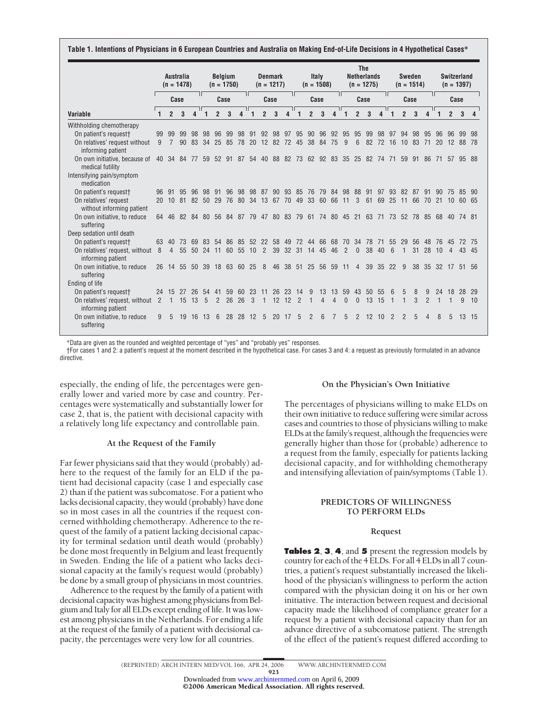|                                                     |                |                | Australia<br>$(n = 1478)$              |                   |      | <b>Belaium</b><br>$(n = 1750)$ |       |    |    |                | <b>Denmark</b><br>$(n = 1217)$ |             |                |                | <b>Italy</b><br>$(n = 1508)$ |    |                |                | <b>The</b><br><b>Netherlands</b><br>$(n = 1275)$ |       |                |               | Sweden<br>$(n = 1514)$                                |                |              | <b>Switzerland</b><br>$(n = 1397)$ |       |       |
|-----------------------------------------------------|----------------|----------------|----------------------------------------|-------------------|------|--------------------------------|-------|----|----|----------------|--------------------------------|-------------|----------------|----------------|------------------------------|----|----------------|----------------|--------------------------------------------------|-------|----------------|---------------|-------------------------------------------------------|----------------|--------------|------------------------------------|-------|-------|
|                                                     |                |                | Case                                   |                   | ٦Г   | Case                           |       |    | ıг |                | Case                           |             | ıг             |                | Case                         |    | ⅂ℾ             |                | Case                                             |       | ıг             |               | Case                                                  |                | ıг           |                                    | Case  |       |
| Variable                                            | 1              | $\overline{2}$ | 3                                      |                   |      | $\overline{2}$                 | 3     |    |    | $\overline{2}$ | 3                              | 4           | 1              | $\overline{2}$ | 3                            | Δ  |                | $\overline{2}$ | 3                                                | 4     |                | $\mathbf{2}$  | 3                                                     |                | 1            | $\mathbf{2}$                       | 3     | 4     |
| Withholding chemotherapy                            |                |                |                                        |                   |      |                                |       |    |    |                |                                |             |                |                |                              |    |                |                |                                                  |       |                |               |                                                       |                |              |                                    |       |       |
| On patient's request†                               | 99             | 99             | 99                                     | 98                | 98   | 96                             | 99    | 98 | 91 | 92             | 98                             | 97          | 95             | 90             | 96                           | 92 | 95             | 95             | 99                                               |       | 98 97          | 94            | 98                                                    | 95             | -96          | 96 99                              |       | 98    |
| On relatives' request without<br>informing patient  | 9              | $\overline{7}$ |                                        | 90 83 34 25 85 78 |      |                                |       |    | 20 |                |                                | 12 82 72 45 |                |                | 38 84 75                     |    | 9              | $6\phantom{1}$ |                                                  |       |                |               | 82 72 16 10 83 71                                     |                |              | 20 12 88 78                        |       |       |
| On own initiative, because of<br>medical futility   | 40             | -34            | 84 77                                  |                   | 59   |                                | 52 91 | 87 | 54 | 40             |                                |             |                |                |                              |    |                |                |                                                  |       |                |               | 88 82 73 62 92 83 35 25 82 74 71 59 91 86 71 57 95 88 |                |              |                                    |       |       |
| Intensifying pain/symptom<br>medication             |                |                |                                        |                   |      |                                |       |    |    |                |                                |             |                |                |                              |    |                |                |                                                  |       |                |               |                                                       |                |              |                                    |       |       |
| On patient's request†                               | 96             | 91             | 95                                     | 96                | 98   | -91                            | 96    | 98 | 98 | 87             | 90                             | 93          | 85             | 76             | 79                           | 84 | 98             | 88             | 91                                               | 97    | 93             | 82            | 87                                                    | 91             | 90           |                                    |       | 85 90 |
| On relatives' request<br>without informing patient  |                |                | 20 10 81 82 50 29 76 80 34 13 67 70 49 |                   |      |                                |       |    |    |                |                                |             |                |                | 33 60 66                     |    | 11             | 3              | 61                                               |       |                | 69 25 11      | 66                                                    | 70             |              | 21 10 60 65                        |       |       |
| On own initiative, to reduce<br>suffering           | 64             | 46             |                                        | 82 84             |      | 80 56                          | - 84  | 87 | 79 | 47             | 80                             | -83         | 79 61          |                | 74 80 45 21                  |    |                |                |                                                  |       |                |               | 63 71 73 52 78 85 68 40 74 81                         |                |              |                                    |       |       |
| Deep sedation until death                           |                |                |                                        |                   |      |                                |       |    |    |                |                                |             |                |                |                              |    |                |                |                                                  |       |                |               |                                                       |                |              |                                    |       |       |
| On patient's request†                               | 63             | 40             | 73                                     | 69                | 83   | 54                             | 86    | 85 | 52 | 22             | 58                             | 49          | 72             | -44            | 66                           | 68 | 70             | 34             | 78                                               | 71    | 55             | 29            | 56                                                    | 48 76          |              |                                    | 45 72 | - 75  |
| On relatives' request, without<br>informing patient | 8              | $\overline{4}$ |                                        | 55 50 24 11 60 55 |      |                                |       |    | 10 | 2              | 39                             |             |                |                | 32 31 14 45 46               |    | $\overline{2}$ | $\mathbf{0}$   |                                                  | 38 40 | 6              | $\mathbf{1}$  | 31                                                    |                | 28 10        | $\overline{4}$                     | 43 45 |       |
| On own initiative, to reduce<br>suffering           | 26             | 14             | 55 50 39 18 63                         |                   |      |                                |       | 60 | 25 | 8              | 46                             |             |                |                | 38 51 25 56 59 11            |    |                | $\overline{4}$ | 39                                               |       | 35 22          | 9             |                                                       |                |              | 38 35 32 17 51 56                  |       |       |
| Ending of life                                      |                |                |                                        |                   |      |                                |       |    |    |                |                                |             |                |                |                              |    |                |                |                                                  |       |                |               |                                                       |                |              |                                    |       |       |
| On patient's request†                               | 24             | 15             | 27                                     | 26                | 54   | 41                             | 59    | 60 | 23 | 11             | 26                             | 23          | 14             | 9              | 13                           | 13 | 59             | 43             | 50                                               | 55    |                | 5             | 8                                                     | 9              | 24           | 18                                 | 28    | 29    |
| On relatives' request, without<br>informing patient | $\overline{2}$ | $\bigoplus$    |                                        | 15 13             | 5    | $\overline{2}$                 | 26 26 |    | 3  | $\mathbf{1}$   |                                | 12 12       | $\overline{2}$ | $\mathbf{1}$   | 4                            | 4  | $\mathbf{0}$   | $\mathbf{0}$   |                                                  | 13 15 | $\overline{1}$ | $\mathbf{1}$  | 3                                                     | $\overline{2}$ | $\mathbf{1}$ |                                    | 9     | 10    |
| On own initiative, to reduce<br>suffering           | 9              | 5              | 19                                     | 16                | - 13 | 6                              | 28    | 28 | 12 | -5             | 20                             | 17          | 5              | $\overline{2}$ | 6                            |    | 5              | $\overline{2}$ | 12                                               | 10    | $\overline{2}$ | $\mathcal{P}$ | 5                                                     |                | 8            | 5                                  | 13 15 |       |

\*Data are given as the rounded and weighted percentage of "yes" and "probably yes" responses.

†For cases 1 and 2: a patient's request at the moment described in the hypothetical case. For cases 3 and 4: a request as previously formulated in an advance directive.

especially, the ending of life, the percentages were generally lower and varied more by case and country. Percentages were systematically and substantially lower for case 2, that is, the patient with decisional capacity with a relatively long life expectancy and controllable pain.

## **At the Request of the Family**

Far fewer physicians said that they would (probably) adhere to the request of the family for an ELD if the patient had decisional capacity (case 1 and especially case 2) than if the patient was subcomatose. For a patient who lacks decisional capacity, they would (probably) have done so in most cases in all the countries if the request concerned withholding chemotherapy. Adherence to the request of the family of a patient lacking decisional capacity for terminal sedation until death would (probably) be done most frequently in Belgium and least frequently in Sweden. Ending the life of a patient who lacks decisional capacity at the family's request would (probably) be done by a small group of physicians in most countries.

Adherence to the request by the family of a patient with decisional capacity was highest among physicians from Belgium and Italy for all ELDs except ending of life. It was lowest among physicians in the Netherlands. For ending a life at the request of the family of a patient with decisional capacity, the percentages were very low for all countries.

## **On the Physician's Own Initiative**

The percentages of physicians willing to make ELDs on their own initiative to reduce suffering were similar across cases and countries to those of physicians willing to make ELDs at the family's request, although the frequencies were generally higher than those for (probable) adherence to a request from the family, especially for patients lacking decisional capacity, and for withholding chemotherapy and intensifying alleviation of pain/symptoms (Table 1).

## **PREDICTORS OF WILLINGNESS TO PERFORM ELDs**

#### **Request**

**Tables 2**, **3**, **4**, and **5** present the regression models by country for each of the 4 ELDs. For all 4 ELDs in all 7 countries, a patient's request substantially increased the likelihood of the physician's willingness to perform the action compared with the physician doing it on his or her own initiative. The interaction between request and decisional capacity made the likelihood of compliance greater for a request by a patient with decisional capacity than for an advance directive of a subcomatose patient. The strength of the effect of the patient's request differed according to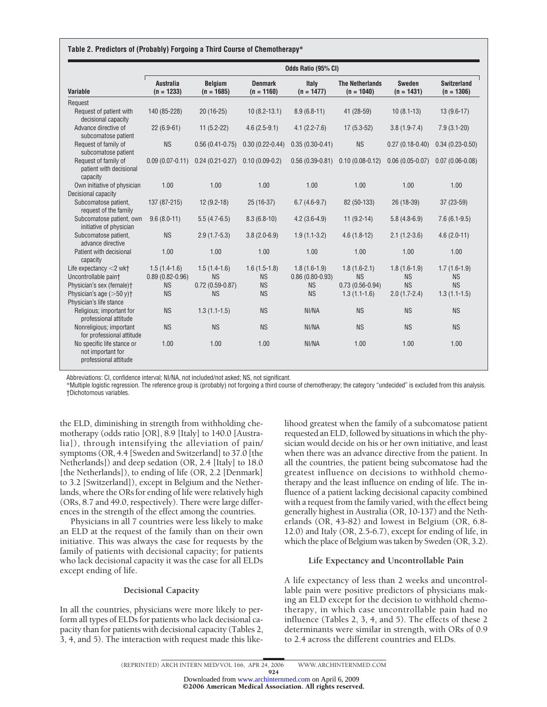|                                                                                |                                                    |                                                  |                                          | Odds Ratio (95% CI)                                |                                                  |                                          |                                          |
|--------------------------------------------------------------------------------|----------------------------------------------------|--------------------------------------------------|------------------------------------------|----------------------------------------------------|--------------------------------------------------|------------------------------------------|------------------------------------------|
| <b>Variable</b>                                                                | <b>Australia</b><br>$(n = 1233)$                   | <b>Belaium</b><br>$(n = 1685)$                   | <b>Denmark</b><br>$(n = 1160)$           | <b>Italy</b><br>$(n = 1477)$                       | <b>The Netherlands</b><br>$(n = 1040)$           | <b>Sweden</b><br>$(n = 1431)$            | <b>Switzerland</b><br>$(n = 1306)$       |
| Request                                                                        |                                                    |                                                  |                                          |                                                    |                                                  |                                          |                                          |
| Request of patient with<br>decisional capacity                                 | 140 (85-228)                                       | 20 (16-25)                                       | $10(8.2 - 13.1)$                         | $8.9(6.8-11)$                                      | 41 (28-59)                                       | $10(8.1-13)$                             | $13(9.6-17)$                             |
| Advance directive of<br>subcomatose patient                                    | $22(6.9-61)$                                       | $11(5.2-22)$                                     | $4.6(2.5-9.1)$                           | $4.1(2.2-7.6)$                                     | $17(5.3-52)$                                     | $3.8(1.9-7.4)$                           | $7.9(3.1-20)$                            |
| Request of family of<br>subcomatose patient                                    | <b>NS</b>                                          | $0.56(0.41 - 0.75)$                              | $0.30(0.22 - 0.44)$                      | $0.35(0.30-0.41)$                                  | <b>NS</b>                                        | $0.27(0.18-0.40)$                        | $0.34(0.23 - 0.50)$                      |
| Request of family of<br>patient with decisional<br>capacity                    | $0.09(0.07 - 0.11)$                                | $0.24(0.21-0.27)$                                | $0.10(0.09-0.2)$                         | $0.56(0.39 - 0.81)$                                | $0.10(0.08 - 0.12)$                              | $0.06(0.05-0.07)$                        | $0.07(0.06 - 0.08)$                      |
| Own initiative of physician                                                    | 1.00                                               | 1.00                                             | 1.00                                     | 1.00                                               | 1.00                                             | 1.00                                     | 1.00                                     |
| Decisional capacity<br>Subcomatose patient,<br>request of the family           | 137 (87-215)                                       | $12(9.2-18)$                                     | $25(16-37)$                              | $6.7(4.6-9.7)$                                     | 82 (50-133)                                      | 26 (18-39)                               | 37 (23-59)                               |
| Subcomatose patient, own<br>initiative of physician                            | $9.6(8.0-11)$                                      | $5.5(4.7-6.5)$                                   | $8.3(6.8-10)$                            | $4.2(3.6-4.9)$                                     | $11(9.2-14)$                                     | $5.8(4.8-6.9)$                           | $7.6(6.1-9.5)$                           |
| Subcomatose patient,<br>advance directive                                      | <b>NS</b>                                          | $2.9(1.7-5.3)$                                   | $3.8(2.0-6.9)$                           | $1.9(1.1-3.2)$                                     | $4.6(1.8-12)$                                    | $2.1(1.2-3.6)$                           | $4.6(2.0-11)$                            |
| Patient with decisional<br>capacity                                            | 1.00                                               | 1.00                                             | 1.00                                     | 1.00                                               | 1.00                                             | 1.00                                     | 1.00                                     |
| Life expectancy $<$ 2 wkt<br>Uncontrollable paint<br>Physician's sex (female)+ | $1.5(1.4-1.6)$<br>$0.89(0.82 - 0.96)$<br><b>NS</b> | $1.5(1.4-1.6)$<br><b>NS</b><br>$0.72(0.59-0.87)$ | $1.6(1.5-1.8)$<br><b>NS</b><br><b>NS</b> | $1.8(1.6-1.9)$<br>$0.86(0.80 - 0.93)$<br><b>NS</b> | $1.8(1.6-2.1)$<br><b>NS</b><br>$0.73(0.56-0.94)$ | $1.8(1.6-1.9)$<br><b>NS</b><br><b>NS</b> | $1.7(1.6-1.9)$<br><b>NS</b><br><b>NS</b> |
| Physician's age $(>50 \text{ y})$ <sup>+</sup><br>Physician's life stance      | <b>NS</b>                                          | <b>NS</b>                                        | <b>NS</b>                                | <b>NS</b>                                          | $1.3(1.1-1.6)$                                   | $2.0(1.7-2.4)$                           | $1.3(1.1-1.5)$                           |
| Religious; important for<br>professional attitude                              | <b>NS</b>                                          | $1.3(1.1-1.5)$                                   | <b>NS</b>                                | NI/NA                                              | <b>NS</b>                                        | <b>NS</b>                                | <b>NS</b>                                |
| Nonreligious; important<br>for professional attitude                           | <b>NS</b>                                          | <b>NS</b>                                        | <b>NS</b>                                | NI/NA                                              | <b>NS</b>                                        | <b>NS</b>                                | <b>NS</b>                                |
| No specific life stance or<br>not important for<br>professional attitude       | 1.00                                               | 1.00                                             | 1.00                                     | NI/NA                                              | 1.00                                             | 1.00                                     | 1.00                                     |

Abbreviations: CI, confidence interval; NI/NA, not included/not asked; NS, not significant.

\*Multiple logistic regression. The reference group is (probably) not forgoing a third course of chemotherapy; the category "undecided" is excluded from this analysis. †Dichotomous variables.

the ELD, diminishing in strength from withholding chemotherapy (odds ratio [OR], 8.9 [Italy] to 140.0 [Australia]), through intensifying the alleviation of pain/ symptoms (OR, 4.4 [Sweden and Switzerland] to 37.0 [the Netherlands]) and deep sedation (OR, 2.4 [Italy] to 18.0 [the Netherlands]), to ending of life (OR, 2.2 [Denmark] to 3.2 [Switzerland]), except in Belgium and the Netherlands, where the ORs for ending of life were relatively high (ORs, 8.7 and 49.0, respectively). There were large differences in the strength of the effect among the countries.

Physicians in all 7 countries were less likely to make an ELD at the request of the family than on their own initiative. This was always the case for requests by the family of patients with decisional capacity; for patients who lack decisional capacity it was the case for all ELDs except ending of life.

#### **Decisional Capacity**

In all the countries, physicians were more likely to perform all types of ELDs for patients who lack decisional capacity than for patients with decisional capacity (Tables 2, 3, 4, and 5). The interaction with request made this likelihood greatest when the family of a subcomatose patient requested an ELD, followed by situations in which the physician would decide on his or her own initiative, and least when there was an advance directive from the patient. In all the countries, the patient being subcomatose had the greatest influence on decisions to withhold chemotherapy and the least influence on ending of life. The influence of a patient lacking decisional capacity combined with a request from the family varied, with the effect being generally highest in Australia (OR, 10-137) and the Netherlands (OR, 43-82) and lowest in Belgium (OR, 6.8- 12.0) and Italy (OR, 2.5-6.7), except for ending of life, in which the place of Belgium was taken by Sweden (OR, 3.2).

## **Life Expectancy and Uncontrollable Pain**

A life expectancy of less than 2 weeks and uncontrollable pain were positive predictors of physicians making an ELD except for the decision to withhold chemotherapy, in which case uncontrollable pain had no influence (Tables 2, 3, 4, and 5). The effects of these 2 determinants were similar in strength, with ORs of 0.9 to 2.4 across the different countries and ELDs.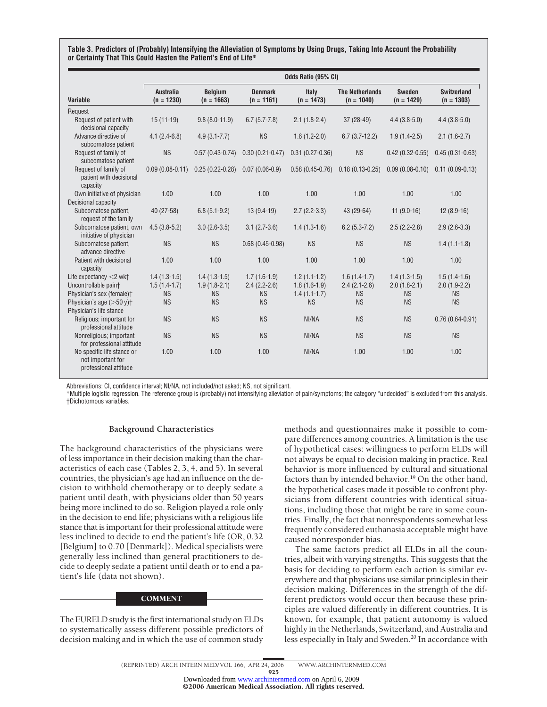**Table 3. Predictors of (Probably) Intensifying the Alleviation of Symptoms by Using Drugs, Taking Into Account the Probability or Certainty That This Could Hasten the Patient's End of Life\***

|                                                                           |                                  |                                |                                | Odds Ratio (95% CI)   |                                        |                               |                                    |
|---------------------------------------------------------------------------|----------------------------------|--------------------------------|--------------------------------|-----------------------|----------------------------------------|-------------------------------|------------------------------------|
| <b>Variable</b>                                                           | <b>Australia</b><br>$(n = 1230)$ | <b>Belgium</b><br>$(n = 1663)$ | <b>Denmark</b><br>$(n = 1161)$ | Italy<br>$(n = 1473)$ | <b>The Netherlands</b><br>$(n = 1040)$ | <b>Sweden</b><br>$(n = 1429)$ | <b>Switzerland</b><br>$(n = 1303)$ |
| Request                                                                   |                                  |                                |                                |                       |                                        |                               |                                    |
| Request of patient with<br>decisional capacity                            | $15(11-19)$                      | $9.8(8.0-11.9)$                | $6.7(5.7 - 7.8)$               | $2.1(1.8-2.4)$        | 37 (28-49)                             | $4.4(3.8-5.0)$                | $4.4(3.8-5.0)$                     |
| Advance directive of<br>subcomatose patient                               | $4.1(2.4-6.8)$                   | $4.9(3.1 - 7.7)$               | <b>NS</b>                      | $1.6(1.2-2.0)$        | $6.7(3.7-12.2)$                        | $1.9(1.4-2.5)$                | $2.1(1.6-2.7)$                     |
| Request of family of<br>subcomatose patient                               | <b>NS</b>                        | $0.57(0.43-0.74)$              | $0.30(0.21 - 0.47)$            | $0.31(0.27-0.36)$     | <b>NS</b>                              | $0.42(0.32 - 0.55)$           | $0.45(0.31 - 0.63)$                |
| Request of family of<br>patient with decisional<br>capacity               | $0.09(0.08 - 0.11)$              | $0.25(0.22-0.28)$              | $0.07(0.06-0.9)$               | $0.58(0.45 - 0.76)$   | $0.18(0.13 - 0.25)$                    | $0.09(0.08 - 0.10)$           | $0.11(0.09 - 0.13)$                |
| Own initiative of physician                                               | 1.00                             | 1.00                           | 1.00                           | 1.00                  | 1.00                                   | 1.00                          | 1.00                               |
| Decisional capacity                                                       |                                  |                                |                                |                       |                                        |                               |                                    |
| Subcomatose patient,<br>request of the family                             | 40 (27-58)                       | $6.8(5.1-9.2)$                 | $13(9.4-19)$                   | $2.7(2.2-3.3)$        | 43 (29-64)                             | $11(9.0-16)$                  | $12(8.9-16)$                       |
| Subcomatose patient, own<br>initiative of physician                       | $4.5(3.8-5.2)$                   | $3.0(2.6-3.5)$                 | $3.1(2.7-3.6)$                 | $1.4(1.3-1.6)$        | $6.2(5.3-7.2)$                         | $2.5(2.2-2.8)$                | $2.9(2.6-3.3)$                     |
| Subcomatose patient,<br>advance directive                                 | <b>NS</b>                        | <b>NS</b>                      | $0.68(0.45-0.98)$              | <b>NS</b>             | <b>NS</b>                              | <b>NS</b>                     | $1.4(1.1-1.8)$                     |
| Patient with decisional<br>capacity                                       | 1.00                             | 1.00                           | 1.00                           | 1.00                  | 1.00                                   | 1.00                          | 1.00                               |
| Life expectancy $<$ 2 wkt                                                 | $1.4(1.3-1.5)$                   | $1.4(1.3-1.5)$                 | $1.7(1.6-1.9)$                 | $1.2(1.1-1.2)$        | $1.6(1.4-1.7)$                         | $1.4(1.3-1.5)$                | $1.5(1.4-1.6)$                     |
| Uncontrollable paint                                                      | $1.5(1.4-1.7)$                   | $1.9(1.8-2.1)$                 | $2.4(2.2-2.6)$                 | $1.8(1.6-1.9)$        | $2.4(2.1-2.6)$                         | $2.0(1.8-2.1)$                | $2.0(1.9-2.2)$                     |
| Physician's sex (female)+                                                 | <b>NS</b>                        | <b>NS</b>                      | <b>NS</b>                      | $1.4(1.1-1.7)$        | <b>NS</b>                              | <b>NS</b>                     | <b>NS</b>                          |
| Physician's age $(>50 \text{ y})$ <sup>+</sup><br>Physician's life stance | <b>NS</b>                        | <b>NS</b>                      | <b>NS</b>                      | <b>NS</b>             | <b>NS</b>                              | <b>NS</b>                     | <b>NS</b>                          |
| Religious; important for<br>professional attitude                         | <b>NS</b>                        | <b>NS</b>                      | <b>NS</b>                      | NI/NA                 | <b>NS</b>                              | <b>NS</b>                     | $0.76(0.64 - 0.91)$                |
| Nonreligious; important<br>for professional attitude                      | <b>NS</b>                        | <b>NS</b>                      | <b>NS</b>                      | NI/NA                 | <b>NS</b>                              | <b>NS</b>                     | <b>NS</b>                          |
| No specific life stance or<br>not important for<br>professional attitude  | 1.00                             | 1.00                           | 1.00                           | NI/NA                 | 1.00                                   | 1.00                          | 1.00                               |

Abbreviations: CI, confidence interval; NI/NA, not included/not asked; NS, not significant.

\*Multiple logistic regression. The reference group is (probably) not intensifying alleviation of pain/symptoms; the category "undecided" is excluded from this analysis. †Dichotomous variables.

## **Background Characteristics**

The background characteristics of the physicians were of less importance in their decision making than the characteristics of each case (Tables 2, 3, 4, and 5). In several countries, the physician's age had an influence on the decision to withhold chemotherapy or to deeply sedate a patient until death, with physicians older than 50 years being more inclined to do so. Religion played a role only in the decision to end life; physicians with a religious life stance that is important for their professional attitude were less inclined to decide to end the patient's life (OR, 0.32 [Belgium] to 0.70 [Denmark]). Medical specialists were generally less inclined than general practitioners to decide to deeply sedate a patient until death or to end a patient's life (data not shown).

## **COMMENT**

The EURELD study is the first international study on ELDs to systematically assess different possible predictors of decision making and in which the use of common study methods and questionnaires make it possible to compare differences among countries. A limitation is the use of hypothetical cases: willingness to perform ELDs will not always be equal to decision making in practice. Real behavior is more influenced by cultural and situational factors than by intended behavior.<sup>19</sup> On the other hand, the hypothetical cases made it possible to confront physicians from different countries with identical situations, including those that might be rare in some countries. Finally, the fact that nonrespondents somewhat less frequently considered euthanasia acceptable might have caused nonresponder bias.

The same factors predict all ELDs in all the countries, albeit with varying strengths. This suggests that the basis for deciding to perform each action is similar everywhere and that physicians use similar principles in their decision making. Differences in the strength of the different predictors would occur then because these principles are valued differently in different countries. It is known, for example, that patient autonomy is valued highly in the Netherlands, Switzerland, and Australia and less especially in Italy and Sweden.<sup>20</sup> In accordance with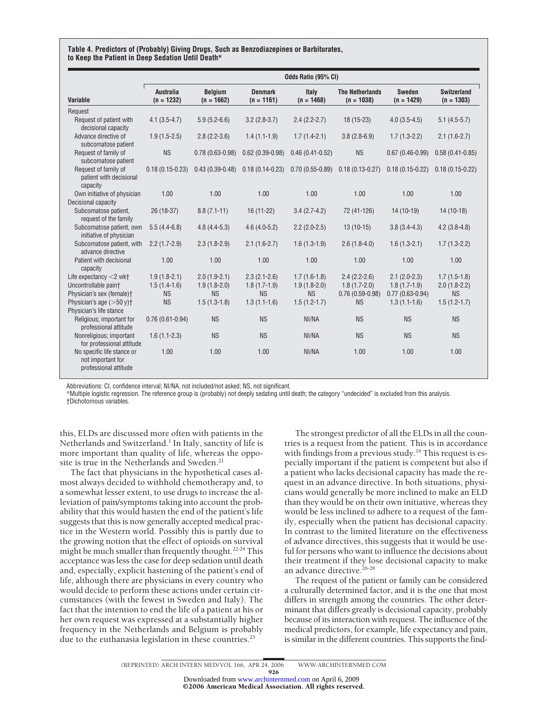#### **Table 4. Predictors of (Probably) Giving Drugs, Such as Benzodiazepines or Barbiturates, to Keep the Patient in Deep Sedation Until Death\***

|                                                                           |                                  |                                |                                | Odds Ratio (95% CI)   |                                        |                               |                                    |
|---------------------------------------------------------------------------|----------------------------------|--------------------------------|--------------------------------|-----------------------|----------------------------------------|-------------------------------|------------------------------------|
| <b>Variable</b>                                                           | <b>Australia</b><br>$(n = 1232)$ | <b>Belgium</b><br>$(n = 1662)$ | <b>Denmark</b><br>$(n = 1161)$ | Italy<br>$(n = 1468)$ | <b>The Netherlands</b><br>$(n = 1038)$ | <b>Sweden</b><br>$(n = 1429)$ | <b>Switzerland</b><br>$(n = 1303)$ |
| Request                                                                   |                                  |                                |                                |                       |                                        |                               |                                    |
| Request of patient with<br>decisional capacity                            | $4.1(3.5-4.7)$                   | $5.9(5.2-6.6)$                 | $3.2(2.8-3.7)$                 | $2.4(2.2 - 2.7)$      | $18(15-23)$                            | $4.0(3.5-4.5)$                | $5.1(4.5-5.7)$                     |
| Advance directive of<br>subcomatose patient                               | $1.9(1.5-2.5)$                   | $2.8(2.2-3.6)$                 | $1.4(1.1-1.9)$                 | $1.7(1.4-2.1)$        | $3.8(2.8-6.9)$                         | $1.7(1.3-2.2)$                | $2.1(1.6-2.7)$                     |
| Request of family of<br>subcomatose patient                               | <b>NS</b>                        | $0.78(0.63 - 0.98)$            | $0.62(0.39-0.98)$              | $0.46(0.41 - 0.52)$   | <b>NS</b>                              | $0.67(0.46-0.99)$             | $0.58(0.41 - 0.85)$                |
| Request of family of<br>patient with decisional<br>capacity               | $0.18(0.15 - 0.23)$              | $0.43(0.39 - 0.48)$            | $0.18(0.14 - 0.23)$            | $0.70(0.55-0.89)$     | $0.18(0.13 - 0.27)$                    | $0.18(0.15-0.22)$             | $0.18(0.15-0.22)$                  |
| Own initiative of physician                                               | 1.00                             | 1.00                           | 1.00                           | 1.00                  | 1.00                                   | 1.00                          | 1.00                               |
| Decisional capacity                                                       |                                  |                                |                                |                       |                                        |                               |                                    |
| Subcomatose patient,<br>request of the family                             | $26(18-37)$                      | $8.8(7.1-11)$                  | $16(11-22)$                    | $3.4(2.7-4.2)$        | 72 (41-126)                            | $14(10-19)$                   | $14(10-18)$                        |
| Subcomatose patient, own<br>initiative of physician                       | $5.5(4.4-6.8)$                   | $4.8(4.4-5.3)$                 | $4.6(4.0-5.2)$                 | $2.2(2.0-2.5)$        | $13(10-15)$                            | $3.8(3.4-4.3)$                | $4.2(3.8-4.8)$                     |
| Subcomatose patient, with<br>advance directive                            | $2.2(1.7-2.9)$                   | $2.3(1.8-2.9)$                 | $2.1(1.6-2.7)$                 | $1.6(1.3-1.9)$        | $2.6(1.8-4.0)$                         | $1.6(1.3-2.1)$                | $1.7(1.3-2.2)$                     |
| Patient with decisional<br>capacity                                       | 1.00                             | 1.00                           | 1.00                           | 1.00                  | 1.00                                   | 1.00                          | 1.00                               |
| Life expectancy $<$ 2 wkt                                                 | $1.9(1.8-2.1)$                   | $2.0(1.9-2.1)$                 | $2.3(2.1-2.6)$                 | $1.7(1.6-1.8)$        | $2.4(2.2-2.6)$                         | $2.1(2.0-2.3)$                | $1.7(1.5-1.8)$                     |
| Uncontrollable paint                                                      | $1.5(1.4-1.6)$                   | $1.9(1.8-2.0)$                 | $1.8(1.7-1.9)$                 | $1.9(1.8-2.0)$        | $1.8(1.7-2.0)$                         | $1.8(1.7-1.9)$                | $2.0(1.8-2.2)$                     |
| Physician's sex (female)+                                                 | <b>NS</b>                        | <b>NS</b>                      | <b>NS</b>                      | <b>NS</b>             | $0.76(0.59-0.98)$                      | $0.77(0.63 - 0.94)$           | <b>NS</b>                          |
| Physician's age $(>50 \text{ y})$ <sup>+</sup><br>Physician's life stance | <b>NS</b>                        | $1.5(1.3-1.8)$                 | $1.3(1.1-1.6)$                 | $1.5(1.2-1.7)$        | <b>NS</b>                              | $1.3(1.1-1.6)$                | $1.5(1.2-1.7)$                     |
| Religious; important for<br>professional attitude                         | $0.76(0.61 - 0.94)$              | <b>NS</b>                      | <b>NS</b>                      | NI/NA                 | <b>NS</b>                              | <b>NS</b>                     | <b>NS</b>                          |
| Nonreligious; important<br>for professional attitude                      | $1.6(1.1-2.3)$                   | <b>NS</b>                      | <b>NS</b>                      | NI/NA                 | <b>NS</b>                              | <b>NS</b>                     | <b>NS</b>                          |
| No specific life stance or<br>not important for<br>professional attitude  | 1.00                             | 1.00                           | 1.00                           | NI/NA                 | 1.00                                   | 1.00                          | 1.00                               |

Abbreviations: CI, confidence interval; NI/NA, not included/not asked; NS, not significant.

\*Multiple logistic regression. The reference group is (probably) not deeply sedating until death; the category "undecided" is excluded from this analysis. †Dichotomous variables.

this, ELDs are discussed more often with patients in the Netherlands and Switzerland.<sup>1</sup> In Italy, sanctity of life is more important than quality of life, whereas the opposite is true in the Netherlands and Sweden.<sup>21</sup>

The fact that physicians in the hypothetical cases almost always decided to withhold chemotherapy and, to a somewhat lesser extent, to use drugs to increase the alleviation of pain/symptoms taking into account the probability that this would hasten the end of the patient's life suggests that this is now generally accepted medical practice in the Western world. Possibly this is partly due to the growing notion that the effect of opioids on survival might be much smaller than frequently thought.<sup>22-24</sup> This acceptance was less the case for deep sedation until death and, especially, explicit hastening of the patient's end of life, although there are physicians in every country who would decide to perform these actions under certain circumstances (with the fewest in Sweden and Italy). The fact that the intention to end the life of a patient at his or her own request was expressed at a substantially higher frequency in the Netherlands and Belgium is probably due to the euthanasia legislation in these countries.<sup>25</sup>

The strongest predictor of all the ELDs in all the countries is a request from the patient. This is in accordance with findings from a previous study.<sup>16</sup> This request is especially important if the patient is competent but also if a patient who lacks decisional capacity has made the request in an advance directive. In both situations, physicians would generally be more inclined to make an ELD than they would be on their own initiative, whereas they would be less inclined to adhere to a request of the family, especially when the patient has decisional capacity. In contrast to the limited literature on the effectiveness of advance directives, this suggests that it would be useful for persons who want to influence the decisions about their treatment if they lose decisional capacity to make an advance directive.<sup>26-28</sup>

The request of the patient or family can be considered a culturally determined factor, and it is the one that most differs in strength among the countries. The other determinant that differs greatly is decisional capacity, probably because of its interaction with request. The influence of the medical predictors, for example, life expectancy and pain, is similar in the different countries. This supports the find-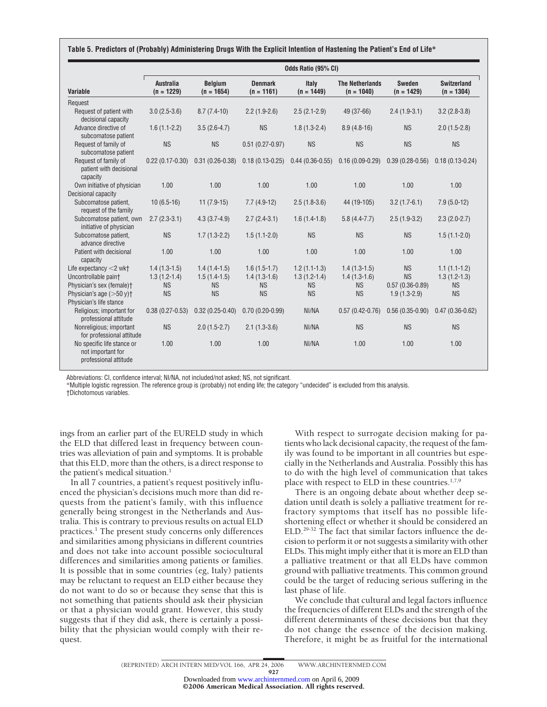### **Table 5. Predictors of (Probably) Administering Drugs With the Explicit Intention of Hastening the Patient's End of Life\***

|                                                                                         |                                                            |                                                            |                                                            | Odds Ratio (95% CI)                                        |                                                            |                                             |                                                            |
|-----------------------------------------------------------------------------------------|------------------------------------------------------------|------------------------------------------------------------|------------------------------------------------------------|------------------------------------------------------------|------------------------------------------------------------|---------------------------------------------|------------------------------------------------------------|
| Variable                                                                                | <b>Australia</b><br>$(n = 1229)$                           | <b>Belaium</b><br>$(n = 1654)$                             | <b>Denmark</b><br>$(n = 1161)$                             | <b>Italy</b><br>$(n = 1449)$                               | <b>The Netherlands</b><br>$(n = 1040)$                     | <b>Sweden</b><br>$(n = 1429)$               | <b>Switzerland</b><br>$(n = 1304)$                         |
| Request                                                                                 |                                                            |                                                            |                                                            |                                                            |                                                            |                                             |                                                            |
| Request of patient with<br>decisional capacity                                          | $3.0(2.5-3.6)$                                             | $8.7(7.4-10)$                                              | $2.2(1.9-2.6)$                                             | $2.5(2.1-2.9)$                                             | 49 (37-66)                                                 | $2.4(1.9-3.1)$                              | $3.2(2.8-3.8)$                                             |
| Advance directive of<br>subcomatose patient                                             | $1.6(1.1-2.2)$                                             | $3.5(2.6-4.7)$                                             | <b>NS</b>                                                  | $1.8(1.3-2.4)$                                             | $8.9(4.8-16)$                                              | <b>NS</b>                                   | $2.0(1.5-2.8)$                                             |
| Request of family of<br>subcomatose patient                                             | <b>NS</b>                                                  | <b>NS</b>                                                  | $0.51(0.27-0.97)$                                          | <b>NS</b>                                                  | <b>NS</b>                                                  | <b>NS</b>                                   | <b>NS</b>                                                  |
| Request of family of<br>patient with decisional<br>capacity                             | $0.22(0.17-0.30)$                                          | $0.31(0.26-0.38)$                                          | $0.18(0.13 - 0.25)$                                        | $0.44(0.36-0.55)$                                          | $0.16(0.09-0.29)$                                          | $0.39(0.28-0.56)$                           | $0.18(0.13 - 0.24)$                                        |
| Own initiative of physician                                                             | 1.00                                                       | 1.00                                                       | 1.00                                                       | 1.00                                                       | 1.00                                                       | 1.00                                        | 1.00                                                       |
| Decisional capacity                                                                     |                                                            |                                                            |                                                            |                                                            |                                                            |                                             |                                                            |
| Subcomatose patient,<br>request of the family                                           | $10(6.5-16)$                                               | $11(7.9-15)$                                               | $7.7(4.9-12)$                                              | $2.5(1.8-3.6)$                                             | 44 (19-105)                                                | $3.2(1.7-6.1)$                              | $7.9(5.0-12)$                                              |
| Subcomatose patient, own<br>initiative of physician                                     | $2.7(2.3-3.1)$                                             | $4.3(3.7-4.9)$                                             | $2.7(2.4-3.1)$                                             | $1.6(1.4-1.8)$                                             | $5.8(4.4-7.7)$                                             | $2.5(1.9-3.2)$                              | $2.3(2.0-2.7)$                                             |
| Subcomatose patient,<br>advance directive                                               | <b>NS</b>                                                  | $1.7(1.3-2.2)$                                             | $1.5(1.1-2.0)$                                             | <b>NS</b>                                                  | <b>NS</b>                                                  | <b>NS</b>                                   | $1.5(1.1-2.0)$                                             |
| Patient with decisional<br>capacity                                                     | 1.00                                                       | 1.00                                                       | 1.00                                                       | 1.00                                                       | 1.00                                                       | 1.00                                        | 1.00                                                       |
| Life expectancy $<$ 2 wk $\dagger$<br>Uncontrollable paint<br>Physician's sex (female)+ | $1.4(1.3-1.5)$<br>$1.3(1.2-1.4)$<br><b>NS</b><br><b>NS</b> | $1.4(1.4-1.5)$<br>$1.5(1.4-1.5)$<br><b>NS</b><br><b>NS</b> | $1.6(1.5-1.7)$<br>$1.4(1.3-1.6)$<br><b>NS</b><br><b>NS</b> | $1.2(1.1-1.3)$<br>$1.3(1.2-1.4)$<br><b>NS</b><br><b>NS</b> | $1.4(1.3-1.5)$<br>$1.4(1.3-1.6)$<br><b>NS</b><br><b>NS</b> | <b>NS</b><br><b>NS</b><br>$0.57(0.36-0.89)$ | $1.1(1.1-1.2)$<br>$1.3(1.2-1.3)$<br><b>NS</b><br><b>NS</b> |
| Physician's age $(>50 \text{ y})$ <sup>+</sup><br>Physician's life stance               |                                                            |                                                            |                                                            |                                                            |                                                            | $1.9(1.3-2.9)$                              |                                                            |
| Religious; important for<br>professional attitude                                       | $0.38(0.27-0.53)$                                          | $0.32(0.25-0.40)$                                          | $0.70(0.20-0.99)$                                          | NI/NA                                                      | $0.57(0.42 - 0.76)$                                        | $0.56(0.35-0.90)$                           | $0.47(0.36-0.62)$                                          |
| Nonreligious; important<br>for professional attitude                                    | <b>NS</b>                                                  | $2.0(1.5-2.7)$                                             | $2.1(1.3-3.6)$                                             | NI/NA                                                      | <b>NS</b>                                                  | <b>NS</b>                                   | <b>NS</b>                                                  |
| No specific life stance or<br>not important for<br>professional attitude                | 1.00                                                       | 1.00                                                       | 1.00                                                       | NI/NA                                                      | 1.00                                                       | 1.00                                        | 1.00                                                       |

Abbreviations: CI, confidence interval; NI/NA, not included/not asked; NS, not significant.

\*Multiple logistic regression. The reference group is (probably) not ending life; the category "undecided" is excluded from this analysis.

†Dichotomous variables.

ings from an earlier part of the EURELD study in which the ELD that differed least in frequency between countries was alleviation of pain and symptoms. It is probable that this ELD, more than the others, is a direct response to the patient's medical situation.<sup>1</sup>

In all 7 countries, a patient's request positively influenced the physician's decisions much more than did requests from the patient's family, with this influence generally being strongest in the Netherlands and Australia. This is contrary to previous results on actual ELD practices.1 The present study concerns only differences and similarities among physicians in different countries and does not take into account possible sociocultural differences and similarities among patients or families. It is possible that in some countries (eg, Italy) patients may be reluctant to request an ELD either because they do not want to do so or because they sense that this is not something that patients should ask their physician or that a physician would grant. However, this study suggests that if they did ask, there is certainly a possibility that the physician would comply with their request.

With respect to surrogate decision making for patients who lack decisional capacity, the request of the family was found to be important in all countries but especially in the Netherlands and Australia. Possibly this has to do with the high level of communication that takes place with respect to ELD in these countries. $1,7,9$ 

There is an ongoing debate about whether deep sedation until death is solely a palliative treatment for refractory symptoms that itself has no possible lifeshortening effect or whether it should be considered an ELD.29-32 The fact that similar factors influence the decision to perform it or not suggests a similarity with other ELDs. This might imply either that it is more an ELD than a palliative treatment or that all ELDs have common ground with palliative treatments. This common ground could be the target of reducing serious suffering in the last phase of life.

We conclude that cultural and legal factors influence the frequencies of different ELDs and the strength of the different determinants of these decisions but that they do not change the essence of the decision making. Therefore, it might be as fruitful for the international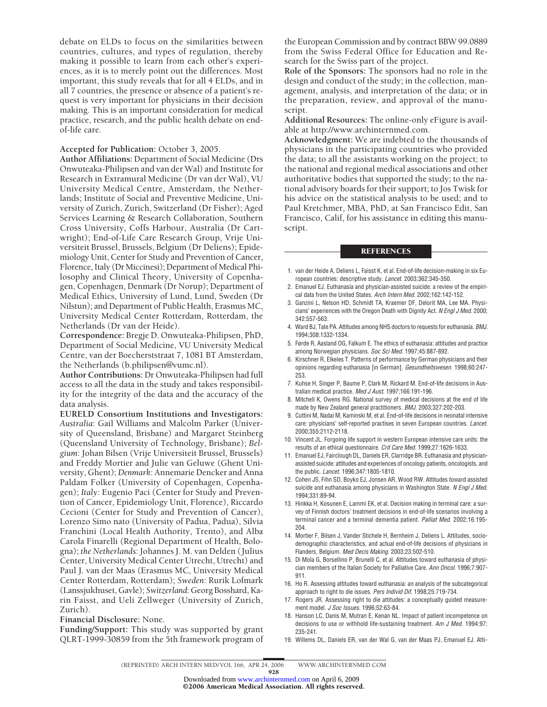debate on ELDs to focus on the similarities between countries, cultures, and types of regulation, thereby making it possible to learn from each other's experiences, as it is to merely point out the differences. Most important, this study reveals that for all 4 ELDs, and in all 7 countries, the presence or absence of a patient's request is very important for physicians in their decision making. This is an important consideration for medical practice, research, and the public health debate on endof-life care.

## **Accepted for Publication:** October 3, 2005.

**Author Affiliations:** Department of Social Medicine (Drs Onwuteaka-Philipsen and van der Wal) and Institute for Research in Extramural Medicine (Dr van der Wal), VU University Medical Centre, Amsterdam, the Netherlands; Institute of Social and Preventive Medicine, University of Zurich, Zurich, Switzerland (Dr Fisher); Aged Services Learning & Research Collaboration, Southern Cross University, Coffs Harbour, Australia (Dr Cartwright); End-of-Life Care Research Group, Vrije Universiteit Brussel, Brussels, Belgium (Dr Deliens); Epidemiology Unit, Center for Study and Prevention of Cancer, Florence, Italy (Dr Miccinesi); Department of Medical Philosophy and Clinical Theory, University of Copenhagen, Copenhagen, Denmark (Dr Norup); Department of Medical Ethics, University of Lund, Lund, Sweden (Dr Nilstun); and Department of Public Health, Erasmus MC, University Medical Center Rotterdam, Rotterdam, the Netherlands (Dr van der Heide).

**Correspondence:** Bregje D. Onwuteaka-Philipsen, PhD, Department of Social Medicine, VU University Medical Centre, van der Boecherststraat 7, 1081 BT Amsterdam, the Netherlands (b.philipsen@vumc.nl).

**Author Contributions:** Dr Onwuteaka-Philipsen had full access to all the data in the study and takes responsibility for the integrity of the data and the accuracy of the data analysis.

**EURELD Consortium Institutions and Investigators:** *Australia*: Gail Williams and Malcolm Parker (University of Queensland, Brisbane) and Margaret Steinberg (Queensland University of Technology, Brisbane); *Belgium*: Johan Bilsen (Vrije Universiteit Brussel, Brussels) and Freddy Mortier and Julie van Geluwe (Ghent University, Ghent); *Denmark*: Annemarie Dencker and Anna Paldam Folker (University of Copenhagen, Copenhagen); *Italy*: Eugenio Paci (Center for Study and Prevention of Cancer, Epidemiology Unit, Florence), Riccardo Cecioni (Center for Study and Prevention of Cancer), Lorenzo Simo nato (University of Padua, Padua), Silvia Franchini (Local Health Authority, Trento), and Alba Carola Finarelli (Regional Department of Health, Bologna); *the Netherlands*: Johannes J. M. van Delden ( Julius Center, University Medical Center Utrecht, Utrecht) and Paul J. van der Maas (Erasmus MC, University Medical Center Rotterdam, Rotterdam); *Sweden*: Rurik Lofmark (Lanssjukhuset, Gavle); *Switzerland*: Georg Bosshard, Karin Faisst, and Ueli Zellweger (University of Zurich, Zurich).

## **Financial Disclosure:** None.

**Funding/Support:** This study was supported by grant QLRT-1999-30859 from the 5th framework program of the European Commission and by contract BBW 99.0889 from the Swiss Federal Office for Education and Research for the Swiss part of the project.

**Role of the Sponsors:** The sponsors had no role in the design and conduct of the study; in the collection, management, analysis, and interpretation of the data; or in the preparation, review, and approval of the manuscript.

**Additional Resources:** The online-only eFigure is available at http://www.archinternmed.com.

**Acknowledgment:** We are indebted to the thousands of physicians in the participating countries who provided the data; to all the assistants working on the project; to the national and regional medical associations and other authoritative bodies that supported the study; to the national advisory boards for their support; to Jos Twisk for his advice on the statistical analysis to be used; and to Paul Kretchmer, MBA, PhD, at San Francisco Edit, San Francisco, Calif, for his assistance in editing this manuscript.

#### **REFERENCES**

- 1. van der Heide A, Deliens L, Faisst K, et al. End-of-life decision-making in six European countries: descriptive study. *Lancet*. 2003;362:345-350.
- 2. Emanuel EJ. Euthanasia and physician-assisted suicide: a review of the empirical data from the United States. *Arch Intern Med*. 2002;162:142-152.
- 3. Ganzini L, Nelson HD, Schmidt TA, Kraemer DF, Delorit MA, Lee MA. Physicians' experiences with the Oregon Death with Dignity Act. *N Engl J Med*. 2000; 342:557-563.
- 4. Ward BJ, Tate PA. Attitudes among NHS doctors to requests for euthanasia. *BMJ*. 1994;308:1332-1334.
- 5. Førde R, Aasland OG, Falkum E. The ethics of euthanasia: attitudes and practice among Norwegian physicians. *Soc Sci Med*. 1997;45:887-892.
- 6. Kirschner R, Elkeles T. Patterns of performance by German physicians and their opinions regarding euthanasia [in German]. *Gesundheitswesen*. 1998;60:247- 253.
- 7. Kuhse H, Singer P, Baume P, Clark M, Rickard M. End-of-life decisions in Australian medical practice. *Med J Aust*. 1997;166:191-196.
- 8. Mitchell K, Owens RG. National survey of medical decisions at the end of life made by New Zealand general practitioners. *BMJ*. 2003;327:202-203.
- 9. Cuttini M, Nadai M, Kaminski M, et al. End-of-life decisions in neonatal intensive care: physicians' self-reported practises in seven European countries. *Lancet*. 2000;355:2112-2118.
- 10. Vincent JL. Forgoing life support in western European intensive care units: the results of an ethical questionnaire. *Crit Care Med*. 1999;27:1626-1633.
- 11. Emanuel EJ, Fairclough DL, Daniels ER, Clarridge BR. Euthanasia and physicianassisted suicide: attitudes and experiences of oncology patients, oncologists, and the public. *Lancet*. 1996;347:1805-1810.
- 12. Cohen JS, Fihn SD, Boyko EJ, Jonsen AR, Wood RW. Attitudes toward assisted suicide and euthanasia among physicians in Washington State. *N Engl J Med*. 1994;331:89-94.
- 13. Hinkka H, Kosunen E, Lammi EK, et al. Decision making in terminal care: a survey of Finnish doctors' treatment decisions in end-of-life scenarios involving a terminal cancer and a terminal dementia patient. *Palliat Med*. 2002;16:195- 204.
- 14. Mortier F, Bilsen J, Vander Stichele H, Bernheim J, Deliens L. Attitudes, sociodemographic characteristics, and actual end-of-life decisions of physicians in Flanders, Belgium. *Med Decis Making*. 2003;23:502-510.
- 15. Di Mola G, Borsellino P, Brunelli C, et al. Attitudes toward euthanasia of physician members of the Italian Society for Palliative Care. *Ann Oncol*. 1996;7:907- 911.
- 16. Ho R. Assessing attitudes toward euthanasia: an analysis of the subcategorical approach to right to die issues. *Pers Individ Dif*. 1998;25:719-734.
- 17. Rogers JR. Assessing right to die attitudes: a conceptually guided measurement model. *J Soc Issues*. 1996;52:63-84.
- 18. Hanson LC, Danis M, Mutran E, Kenan NL. Impact of patient incompetence on decisions to use or withhold life-sustaining treatment. *Am J Med*. 1994;97: 235-241.
- 19. Willems DL, Daniels ER, van der Wal G, van der Maas PJ, Emanuel EJ. Atti-

(REPRINTED) ARCH INTERN MED/ VOL 166, APR 24, 2006 WWW.ARCHINTERNMED.COM

928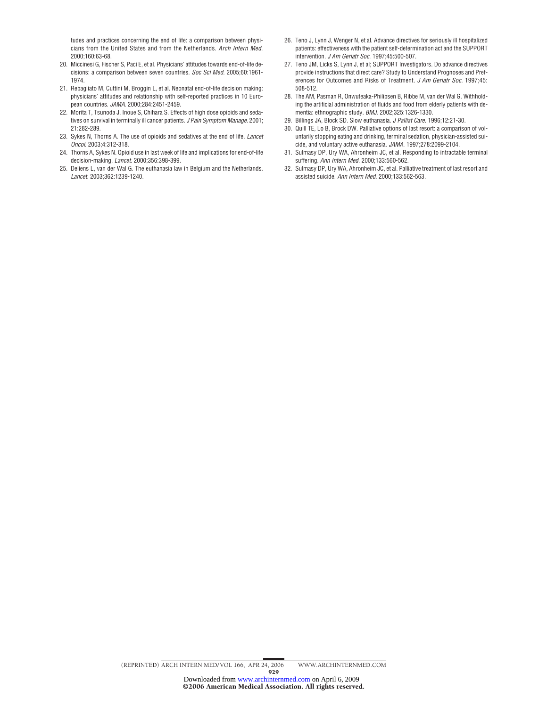tudes and practices concerning the end of life: a comparison between physicians from the United States and from the Netherlands. *Arch Intern Med*. 2000;160:63-68.

- 20. Miccinesi G, Fischer S, Paci E, et al. Physicians' attitudes towards end-of-life decisions: a comparison between seven countries. *Soc Sci Med*. 2005;60:1961- 1974.
- 21. Rebagliato M, Cuttini M, Broggin L, et al. Neonatal end-of-life decision making: physicians' attitudes and relationship with self-reported practices in 10 European countries. *JAMA*. 2000;284:2451-2459.
- 22. Morita T, Tsunoda J, Inoue S, Chihara S. Effects of high dose opioids and sedatives on survival in terminally ill cancer patients. *J Pain Symptom Manage*. 2001; 21:282-289.
- 23. Sykes N, Thorns A. The use of opioids and sedatives at the end of life. *Lancet Oncol*. 2003;4:312-318.
- 24. Thorns A, Sykes N. Opioid use in last week of life and implications for end-of-life decision-making. *Lancet*. 2000;356:398-399.
- 25. Deliens L, van der Wal G. The euthanasia law in Belgium and the Netherlands. *Lancet*. 2003;362:1239-1240.
- 26. Teno J, Lynn J, Wenger N, et al. Advance directives for seriously ill hospitalized patients: effectiveness with the patient self-determination act and the SUPPORT intervention. *J Am Geriatr Soc*. 1997;45:500-507.
- 27. Teno JM, Licks S, Lynn J, et al; SUPPORT Investigators. Do advance directives provide instructions that direct care? Study to Understand Prognoses and Preferences for Outcomes and Risks of Treatment. *J Am Geriatr Soc*. 1997;45: 508-512.
- 28. The AM, Pasman R, Onwuteaka-Philipsen B, Ribbe M, van der Wal G. Withholding the artificial administration of fluids and food from elderly patients with dementia: ethnographic study. *BMJ*. 2002;325:1326-1330.
- 29. Billings JA, Block SD. Slow euthanasia. *J Palliat Care*. 1996;12:21-30.
- 30. Quill TE, Lo B, Brock DW. Palliative options of last resort: a comparison of voluntarily stopping eating and drinking, terminal sedation, physician-assisted suicide, and voluntary active euthanasia. *JAMA*. 1997;278:2099-2104.
- 31. Sulmasy DP, Ury WA, Ahronheim JC, et al. Responding to intractable terminal suffering. *Ann Intern Med*. 2000;133:560-562.
- 32. Sulmasy DP, Ury WA, Ahronheim JC, et al. Palliative treatment of last resort and assisted suicide. *Ann Intern Med*. 2000;133:562-563.